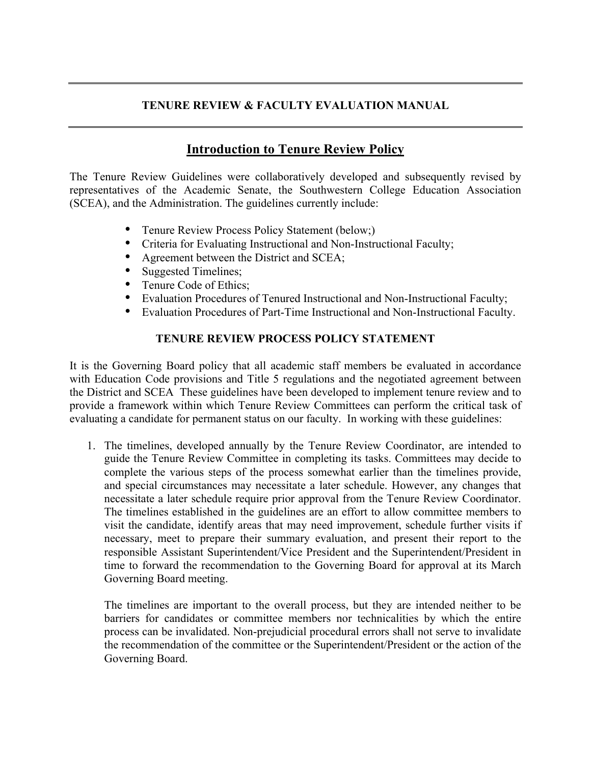## **TENURE REVIEW & FACULTY EVALUATION MANUAL**

## **Introduction to Tenure Review Policy**

The Tenure Review Guidelines were collaboratively developed and subsequently revised by representatives of the Academic Senate, the Southwestern College Education Association (SCEA), and the Administration. The guidelines currently include:

- Tenure Review Process Policy Statement (below;)
- Criteria for Evaluating Instructional and Non-Instructional Faculty;
- Agreement between the District and SCEA;<br>• Suggested Timelines:
- Suggested Timelines;
- Tenure Code of Ethics;<br>• Evaluation Procedures of
- Evaluation Procedures of Tenured Instructional and Non-Instructional Faculty;
- Evaluation Procedures of Part-Time Instructional and Non-Instructional Faculty.

## **TENURE REVIEW PROCESS POLICY STATEMENT**

It is the Governing Board policy that all academic staff members be evaluated in accordance with Education Code provisions and Title 5 regulations and the negotiated agreement between the District and SCEA These guidelines have been developed to implement tenure review and to provide a framework within which Tenure Review Committees can perform the critical task of evaluating a candidate for permanent status on our faculty. In working with these guidelines:

1. The timelines, developed annually by the Tenure Review Coordinator, are intended to guide the Tenure Review Committee in completing its tasks. Committees may decide to complete the various steps of the process somewhat earlier than the timelines provide, and special circumstances may necessitate a later schedule. However, any changes that necessitate a later schedule require prior approval from the Tenure Review Coordinator. The timelines established in the guidelines are an effort to allow committee members to visit the candidate, identify areas that may need improvement, schedule further visits if necessary, meet to prepare their summary evaluation, and present their report to the responsible Assistant Superintendent/Vice President and the Superintendent/President in time to forward the recommendation to the Governing Board for approval at its March Governing Board meeting.

The timelines are important to the overall process, but they are intended neither to be barriers for candidates or committee members nor technicalities by which the entire process can be invalidated. Non-prejudicial procedural errors shall not serve to invalidate the recommendation of the committee or the Superintendent/President or the action of the Governing Board.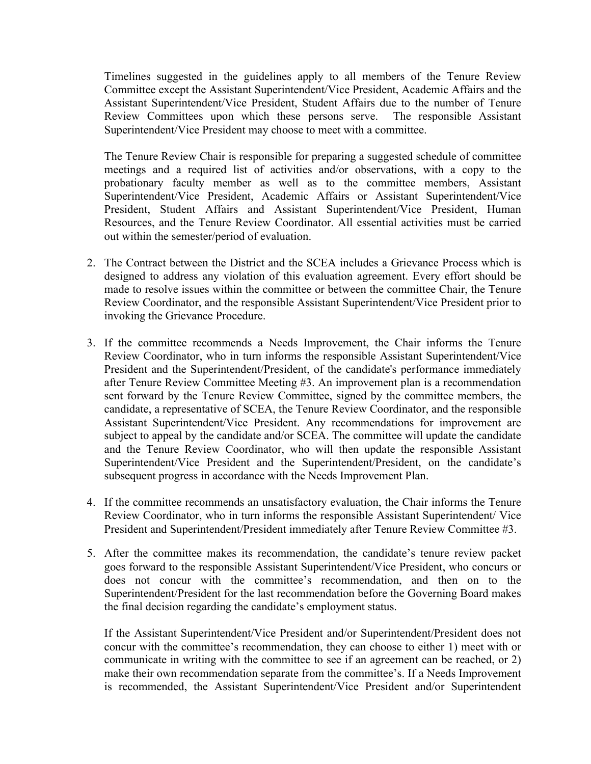Timelines suggested in the guidelines apply to all members of the Tenure Review Committee except the Assistant Superintendent/Vice President, Academic Affairs and the Assistant Superintendent/Vice President, Student Affairs due to the number of Tenure Review Committees upon which these persons serve. The responsible Assistant Superintendent/Vice President may choose to meet with a committee.

The Tenure Review Chair is responsible for preparing a suggested schedule of committee meetings and a required list of activities and/or observations, with a copy to the probationary faculty member as well as to the committee members, Assistant Superintendent/Vice President, Academic Affairs or Assistant Superintendent/Vice President, Student Affairs and Assistant Superintendent/Vice President, Human Resources, and the Tenure Review Coordinator. All essential activities must be carried out within the semester/period of evaluation.

- 2. The Contract between the District and the SCEA includes a Grievance Process which is designed to address any violation of this evaluation agreement. Every effort should be made to resolve issues within the committee or between the committee Chair, the Tenure Review Coordinator, and the responsible Assistant Superintendent/Vice President prior to invoking the Grievance Procedure.
- 3. If the committee recommends a Needs Improvement, the Chair informs the Tenure Review Coordinator, who in turn informs the responsible Assistant Superintendent/Vice President and the Superintendent/President, of the candidate's performance immediately after Tenure Review Committee Meeting #3. An improvement plan is a recommendation sent forward by the Tenure Review Committee, signed by the committee members, the candidate, a representative of SCEA, the Tenure Review Coordinator, and the responsible Assistant Superintendent/Vice President. Any recommendations for improvement are subject to appeal by the candidate and/or SCEA. The committee will update the candidate and the Tenure Review Coordinator, who will then update the responsible Assistant Superintendent/Vice President and the Superintendent/President, on the candidate's subsequent progress in accordance with the Needs Improvement Plan.
- 4. If the committee recommends an unsatisfactory evaluation, the Chair informs the Tenure Review Coordinator, who in turn informs the responsible Assistant Superintendent/ Vice President and Superintendent/President immediately after Tenure Review Committee #3.
- 5. After the committee makes its recommendation, the candidate's tenure review packet goes forward to the responsible Assistant Superintendent/Vice President, who concurs or does not concur with the committee's recommendation, and then on to the Superintendent/President for the last recommendation before the Governing Board makes the final decision regarding the candidate's employment status.

If the Assistant Superintendent/Vice President and/or Superintendent/President does not concur with the committee's recommendation, they can choose to either 1) meet with or communicate in writing with the committee to see if an agreement can be reached, or 2) make their own recommendation separate from the committee's. If a Needs Improvement is recommended, the Assistant Superintendent/Vice President and/or Superintendent